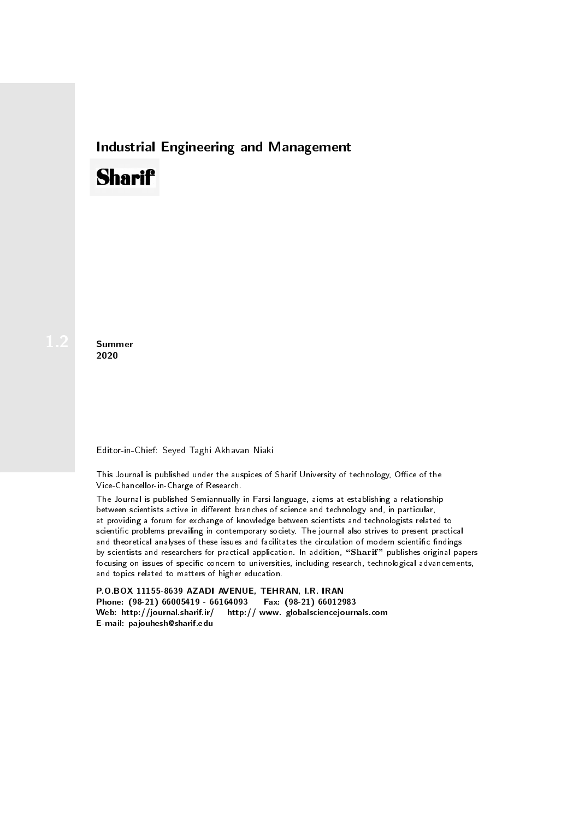## Industrial Engineering and Management

## **Sharif**

**Summer** 2020

## Editor-in-Chief: Seyed Taghi Akhavan Niaki

This Journal is published under the auspices of Sharif University of technology, Office of the Vice-Chancellor-in-Charge of Research.

The Journal is published Semiannually in Farsi language, aiqms at establishing a relationship between scientists active in different branches of science and technology and, in particular, at providing a forum for exchange of knowledge between scientists and technologists related to scientic problems prevailing in contemporary society. The journal also strives to present practical and theoretical analyses of these issues and facilitates the circulation of modern scientific findings by scientists and researchers for practical application. In addition, "Sharif" publishes original papers focusing on issues of specific concern to universities, including research, technological advancements, and topics related to matters of higher education.

P.O.BOX 11155-8639 AZADI AVENUE, TEHRAN, I.R. IRAN Phone: (98-21) 66005419 - 66164093 Fax: (98-21) 66012983 Web: http://journal.sharif.ir/ http:// www. globalsciencejournals.com E-mail: pajouhesh@sharif.edu